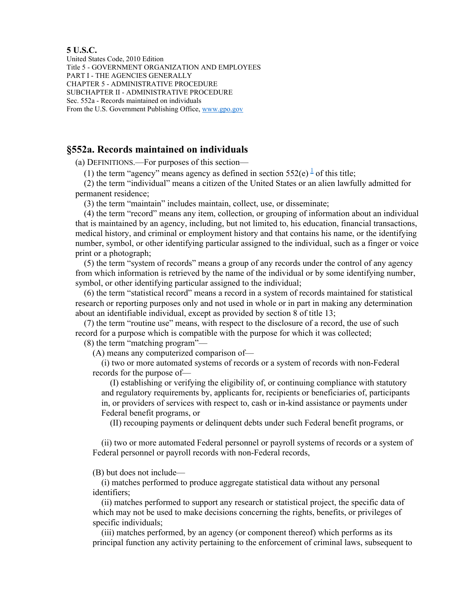**5 U.S.C.** 

United States Code, 2010 Edition Title 5 - GOVERNMENT ORGANIZATION AND EMPLOYEES PART I - THE AGENCIES GENERALLY CHAPTER 5 - ADMINISTRATIVE PROCEDURE SUBCHAPTER II - ADMINISTRATIVE PROCEDURE Sec. 552a - Records maintained on individuals From the U.S. Government Publishing Office, www.gpo.gov

# **§552a. Records maintained on individuals**

(a) DEFINITIONS.—For purposes of this section—

(1) the term "agency" means agency as defined in section  $552(e)^{\frac{1}{2}}$  of this title;

(2) the term "individual" means a citizen of the United States or an alien lawfully admitted for permanent residence;

(3) the term "maintain" includes maintain, collect, use, or disseminate;

(4) the term "record" means any item, collection, or grouping of information about an individual that is maintained by an agency, including, but not limited to, his education, financial transactions, medical history, and criminal or employment history and that contains his name, or the identifying number, symbol, or other identifying particular assigned to the individual, such as a finger or voice print or a photograph;

(5) the term "system of records" means a group of any records under the control of any agency from which information is retrieved by the name of the individual or by some identifying number, symbol, or other identifying particular assigned to the individual;

(6) the term "statistical record" means a record in a system of records maintained for statistical research or reporting purposes only and not used in whole or in part in making any determination about an identifiable individual, except as provided by section 8 of title 13;

(7) the term "routine use" means, with respect to the disclosure of a record, the use of such record for a purpose which is compatible with the purpose for which it was collected;

(8) the term "matching program"—

(A) means any computerized comparison of—

(i) two or more automated systems of records or a system of records with non-Federal records for the purpose of—

(I) establishing or verifying the eligibility of, or continuing compliance with statutory and regulatory requirements by, applicants for, recipients or beneficiaries of, participants in, or providers of services with respect to, cash or in-kind assistance or payments under Federal benefit programs, or

(II) recouping payments or delinquent debts under such Federal benefit programs, or

(ii) two or more automated Federal personnel or payroll systems of records or a system of Federal personnel or payroll records with non-Federal records,

(B) but does not include—

(i) matches performed to produce aggregate statistical data without any personal identifiers;

(ii) matches performed to support any research or statistical project, the specific data of which may not be used to make decisions concerning the rights, benefits, or privileges of specific individuals;

(iii) matches performed, by an agency (or component thereof) which performs as its principal function any activity pertaining to the enforcement of criminal laws, subsequent to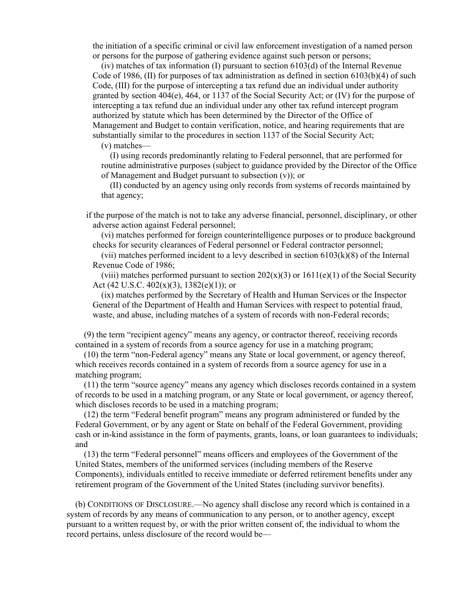the initiation of a specific criminal or civil law enforcement investigation of a named person or persons for the purpose of gathering evidence against such person or persons;

(iv) matches of tax information (I) pursuant to section 6103(d) of the Internal Revenue Code of 1986, (II) for purposes of tax administration as defined in section  $6103(b)(4)$  of such Code, (III) for the purpose of intercepting a tax refund due an individual under authority granted by section 404(e), 464, or 1137 of the Social Security Act; or (IV) for the purpose of intercepting a tax refund due an individual under any other tax refund intercept program authorized by statute which has been determined by the Director of the Office of Management and Budget to contain verification, notice, and hearing requirements that are substantially similar to the procedures in section 1137 of the Social Security Act;

(v) matches—

(I) using records predominantly relating to Federal personnel, that are performed for routine administrative purposes (subject to guidance provided by the Director of the Office of Management and Budget pursuant to subsection (v)); or

(II) conducted by an agency using only records from systems of records maintained by that agency;

 if the purpose of the match is not to take any adverse financial, personnel, disciplinary, or other adverse action against Federal personnel;

(vi) matches performed for foreign counterintelligence purposes or to produce background checks for security clearances of Federal personnel or Federal contractor personnel;

(vii) matches performed incident to a levy described in section  $6103(k)(8)$  of the Internal Revenue Code of 1986;

(viii) matches performed pursuant to section  $202(x)(3)$  or  $1611(e)(1)$  of the Social Security Act (42 U.S.C.  $402(x)(3)$ ,  $1382(e)(1)$ ); or

(ix) matches performed by the Secretary of Health and Human Services or the Inspector General of the Department of Health and Human Services with respect to potential fraud, waste, and abuse, including matches of a system of records with non-Federal records;

(9) the term "recipient agency" means any agency, or contractor thereof, receiving records contained in a system of records from a source agency for use in a matching program;

(10) the term "non-Federal agency" means any State or local government, or agency thereof, which receives records contained in a system of records from a source agency for use in a matching program;

(11) the term "source agency" means any agency which discloses records contained in a system of records to be used in a matching program, or any State or local government, or agency thereof, which discloses records to be used in a matching program;

(12) the term "Federal benefit program" means any program administered or funded by the Federal Government, or by any agent or State on behalf of the Federal Government, providing cash or in-kind assistance in the form of payments, grants, loans, or loan guarantees to individuals; and

(13) the term "Federal personnel" means officers and employees of the Government of the United States, members of the uniformed services (including members of the Reserve Components), individuals entitled to receive immediate or deferred retirement benefits under any retirement program of the Government of the United States (including survivor benefits).

(b) CONDITIONS OF DISCLOSURE.—No agency shall disclose any record which is contained in a system of records by any means of communication to any person, or to another agency, except pursuant to a written request by, or with the prior written consent of, the individual to whom the record pertains, unless disclosure of the record would be—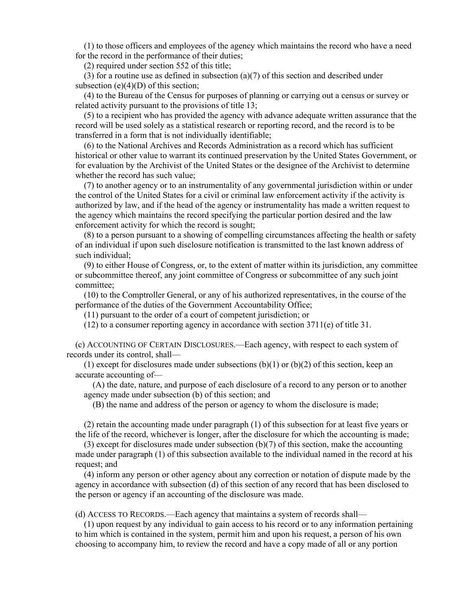(1) to those officers and employees of the agency which maintains the record who have a need for the record in the performance of their duties;

(2) required under section 552 of this title;

(3) for a routine use as defined in subsection (a)(7) of this section and described under subsection  $(e)(4)(D)$  of this section;

(4) to the Bureau of the Census for purposes of planning or carrying out a census or survey or related activity pursuant to the provisions of title 13;

(5) to a recipient who has provided the agency with advance adequate written assurance that the record will be used solely as a statistical research or reporting record, and the record is to be transferred in a form that is not individually identifiable;

(6) to the National Archives and Records Administration as a record which has sufficient historical or other value to warrant its continued preservation by the United States Government, or for evaluation by the Archivist of the United States or the designee of the Archivist to determine whether the record has such value;

(7) to another agency or to an instrumentality of any governmental jurisdiction within or under the control of the United States for a civil or criminal law enforcement activity if the activity is authorized by law, and if the head of the agency or instrumentality has made a written request to the agency which maintains the record specifying the particular portion desired and the law enforcement activity for which the record is sought;

(8) to a person pursuant to a showing of compelling circumstances affecting the health or safety of an individual if upon such disclosure notification is transmitted to the last known address of such individual;

(9) to either House of Congress, or, to the extent of matter within its jurisdiction, any committee or subcommittee thereof, any joint committee of Congress or subcommittee of any such joint committee;

(10) to the Comptroller General, or any of his authorized representatives, in the course of the performance of the duties of the Government Accountability Office;

(11) pursuant to the order of a court of competent jurisdiction; or

(12) to a consumer reporting agency in accordance with section 3711(e) of title 31.

(c) ACCOUNTING OF CERTAIN DISCLOSURES.—Each agency, with respect to each system of records under its control, shall—

(1) except for disclosures made under subsections  $(b)(1)$  or  $(b)(2)$  of this section, keep an accurate accounting of—

(A) the date, nature, and purpose of each disclosure of a record to any person or to another agency made under subsection (b) of this section; and

(B) the name and address of the person or agency to whom the disclosure is made;

(2) retain the accounting made under paragraph (1) of this subsection for at least five years or the life of the record, whichever is longer, after the disclosure for which the accounting is made;

(3) except for disclosures made under subsection  $(b)(7)$  of this section, make the accounting made under paragraph (1) of this subsection available to the individual named in the record at his request; and

(4) inform any person or other agency about any correction or notation of dispute made by the agency in accordance with subsection (d) of this section of any record that has been disclosed to the person or agency if an accounting of the disclosure was made.

(d) ACCESS TO RECORDS.—Each agency that maintains a system of records shall—

(1) upon request by any individual to gain access to his record or to any information pertaining to him which is contained in the system, permit him and upon his request, a person of his own choosing to accompany him, to review the record and have a copy made of all or any portion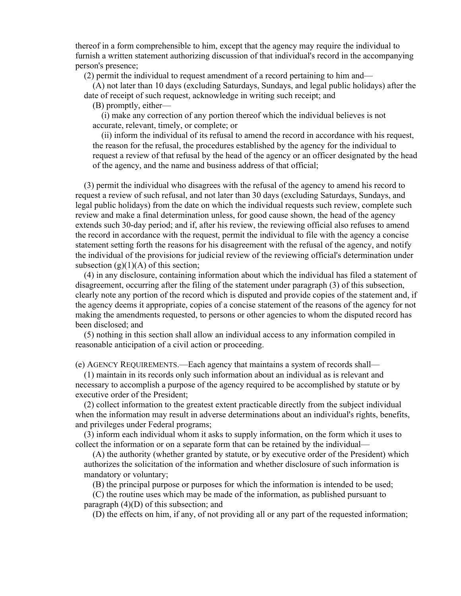thereof in a form comprehensible to him, except that the agency may require the individual to furnish a written statement authorizing discussion of that individual's record in the accompanying person's presence;

(2) permit the individual to request amendment of a record pertaining to him and—

(A) not later than 10 days (excluding Saturdays, Sundays, and legal public holidays) after the date of receipt of such request, acknowledge in writing such receipt; and

(B) promptly, either—

(i) make any correction of any portion thereof which the individual believes is not accurate, relevant, timely, or complete; or

(ii) inform the individual of its refusal to amend the record in accordance with his request, the reason for the refusal, the procedures established by the agency for the individual to request a review of that refusal by the head of the agency or an officer designated by the head of the agency, and the name and business address of that official;

(3) permit the individual who disagrees with the refusal of the agency to amend his record to request a review of such refusal, and not later than 30 days (excluding Saturdays, Sundays, and legal public holidays) from the date on which the individual requests such review, complete such review and make a final determination unless, for good cause shown, the head of the agency extends such 30-day period; and if, after his review, the reviewing official also refuses to amend the record in accordance with the request, permit the individual to file with the agency a concise statement setting forth the reasons for his disagreement with the refusal of the agency, and notify the individual of the provisions for judicial review of the reviewing official's determination under subsection  $(g)(1)(A)$  of this section;

(4) in any disclosure, containing information about which the individual has filed a statement of disagreement, occurring after the filing of the statement under paragraph (3) of this subsection, clearly note any portion of the record which is disputed and provide copies of the statement and, if the agency deems it appropriate, copies of a concise statement of the reasons of the agency for not making the amendments requested, to persons or other agencies to whom the disputed record has been disclosed; and

(5) nothing in this section shall allow an individual access to any information compiled in reasonable anticipation of a civil action or proceeding.

(e) AGENCY REQUIREMENTS.—Each agency that maintains a system of records shall—

(1) maintain in its records only such information about an individual as is relevant and necessary to accomplish a purpose of the agency required to be accomplished by statute or by executive order of the President;

(2) collect information to the greatest extent practicable directly from the subject individual when the information may result in adverse determinations about an individual's rights, benefits, and privileges under Federal programs;

(3) inform each individual whom it asks to supply information, on the form which it uses to collect the information or on a separate form that can be retained by the individual—

(A) the authority (whether granted by statute, or by executive order of the President) which authorizes the solicitation of the information and whether disclosure of such information is mandatory or voluntary;

(B) the principal purpose or purposes for which the information is intended to be used;

(C) the routine uses which may be made of the information, as published pursuant to paragraph (4)(D) of this subsection; and

(D) the effects on him, if any, of not providing all or any part of the requested information;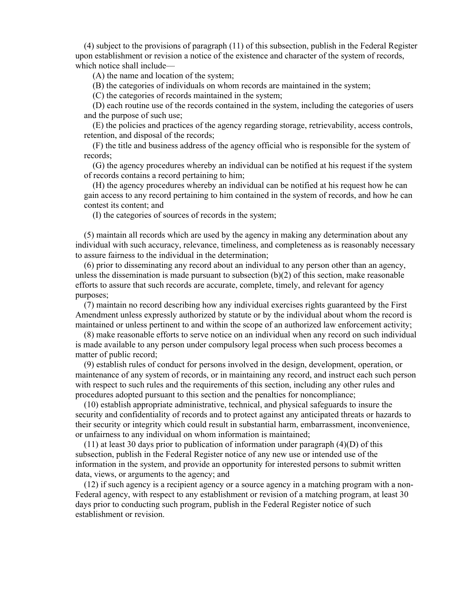(4) subject to the provisions of paragraph (11) of this subsection, publish in the Federal Register upon establishment or revision a notice of the existence and character of the system of records, which notice shall include—

(A) the name and location of the system;

(B) the categories of individuals on whom records are maintained in the system;

(C) the categories of records maintained in the system;

(D) each routine use of the records contained in the system, including the categories of users and the purpose of such use;

(E) the policies and practices of the agency regarding storage, retrievability, access controls, retention, and disposal of the records;

(F) the title and business address of the agency official who is responsible for the system of records;

(G) the agency procedures whereby an individual can be notified at his request if the system of records contains a record pertaining to him;

(H) the agency procedures whereby an individual can be notified at his request how he can gain access to any record pertaining to him contained in the system of records, and how he can contest its content; and

(I) the categories of sources of records in the system;

(5) maintain all records which are used by the agency in making any determination about any individual with such accuracy, relevance, timeliness, and completeness as is reasonably necessary to assure fairness to the individual in the determination;

(6) prior to disseminating any record about an individual to any person other than an agency, unless the dissemination is made pursuant to subsection  $(b)(2)$  of this section, make reasonable efforts to assure that such records are accurate, complete, timely, and relevant for agency purposes;

(7) maintain no record describing how any individual exercises rights guaranteed by the First Amendment unless expressly authorized by statute or by the individual about whom the record is maintained or unless pertinent to and within the scope of an authorized law enforcement activity;

(8) make reasonable efforts to serve notice on an individual when any record on such individual is made available to any person under compulsory legal process when such process becomes a matter of public record;

(9) establish rules of conduct for persons involved in the design, development, operation, or maintenance of any system of records, or in maintaining any record, and instruct each such person with respect to such rules and the requirements of this section, including any other rules and procedures adopted pursuant to this section and the penalties for noncompliance;

(10) establish appropriate administrative, technical, and physical safeguards to insure the security and confidentiality of records and to protect against any anticipated threats or hazards to their security or integrity which could result in substantial harm, embarrassment, inconvenience, or unfairness to any individual on whom information is maintained;

 $(11)$  at least 30 days prior to publication of information under paragraph  $(4)(D)$  of this subsection, publish in the Federal Register notice of any new use or intended use of the information in the system, and provide an opportunity for interested persons to submit written data, views, or arguments to the agency; and

(12) if such agency is a recipient agency or a source agency in a matching program with a non-Federal agency, with respect to any establishment or revision of a matching program, at least 30 days prior to conducting such program, publish in the Federal Register notice of such establishment or revision.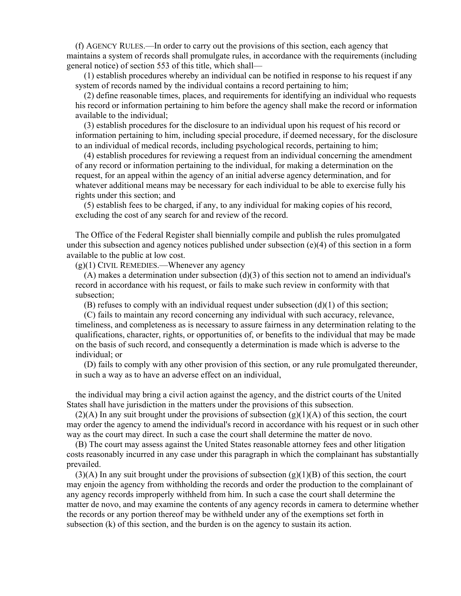(f) AGENCY RULES.—In order to carry out the provisions of this section, each agency that maintains a system of records shall promulgate rules, in accordance with the requirements (including general notice) of section 553 of this title, which shall—

(1) establish procedures whereby an individual can be notified in response to his request if any system of records named by the individual contains a record pertaining to him;

(2) define reasonable times, places, and requirements for identifying an individual who requests his record or information pertaining to him before the agency shall make the record or information available to the individual;

(3) establish procedures for the disclosure to an individual upon his request of his record or information pertaining to him, including special procedure, if deemed necessary, for the disclosure to an individual of medical records, including psychological records, pertaining to him;

(4) establish procedures for reviewing a request from an individual concerning the amendment of any record or information pertaining to the individual, for making a determination on the request, for an appeal within the agency of an initial adverse agency determination, and for whatever additional means may be necessary for each individual to be able to exercise fully his rights under this section; and

(5) establish fees to be charged, if any, to any individual for making copies of his record, excluding the cost of any search for and review of the record.

The Office of the Federal Register shall biennially compile and publish the rules promulgated under this subsection and agency notices published under subsection (e)(4) of this section in a form available to the public at low cost.

 $(g)(1)$  CIVIL REMEDIES.—Whenever any agency

(A) makes a determination under subsection (d)(3) of this section not to amend an individual's record in accordance with his request, or fails to make such review in conformity with that subsection;

(B) refuses to comply with an individual request under subsection  $(d)(1)$  of this section;

(C) fails to maintain any record concerning any individual with such accuracy, relevance, timeliness, and completeness as is necessary to assure fairness in any determination relating to the qualifications, character, rights, or opportunities of, or benefits to the individual that may be made on the basis of such record, and consequently a determination is made which is adverse to the individual; or

(D) fails to comply with any other provision of this section, or any rule promulgated thereunder, in such a way as to have an adverse effect on an individual,

the individual may bring a civil action against the agency, and the district courts of the United States shall have jurisdiction in the matters under the provisions of this subsection.

 $(2)(A)$  In any suit brought under the provisions of subsection  $(g)(1)(A)$  of this section, the court may order the agency to amend the individual's record in accordance with his request or in such other way as the court may direct. In such a case the court shall determine the matter de novo.

(B) The court may assess against the United States reasonable attorney fees and other litigation costs reasonably incurred in any case under this paragraph in which the complainant has substantially prevailed.

 $(3)(A)$  In any suit brought under the provisions of subsection  $(g)(1)(B)$  of this section, the court may enjoin the agency from withholding the records and order the production to the complainant of any agency records improperly withheld from him. In such a case the court shall determine the matter de novo, and may examine the contents of any agency records in camera to determine whether the records or any portion thereof may be withheld under any of the exemptions set forth in subsection (k) of this section, and the burden is on the agency to sustain its action.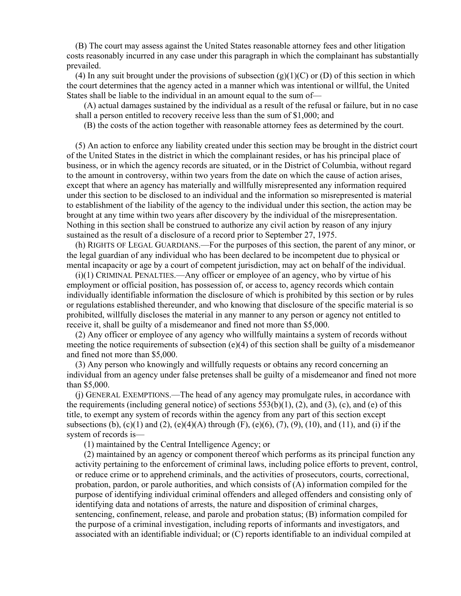(B) The court may assess against the United States reasonable attorney fees and other litigation costs reasonably incurred in any case under this paragraph in which the complainant has substantially prevailed.

(4) In any suit brought under the provisions of subsection  $(g)(1)(C)$  or  $(D)$  of this section in which the court determines that the agency acted in a manner which was intentional or willful, the United States shall be liable to the individual in an amount equal to the sum of—

(A) actual damages sustained by the individual as a result of the refusal or failure, but in no case shall a person entitled to recovery receive less than the sum of \$1,000; and

(B) the costs of the action together with reasonable attorney fees as determined by the court.

(5) An action to enforce any liability created under this section may be brought in the district court of the United States in the district in which the complainant resides, or has his principal place of business, or in which the agency records are situated, or in the District of Columbia, without regard to the amount in controversy, within two years from the date on which the cause of action arises, except that where an agency has materially and willfully misrepresented any information required under this section to be disclosed to an individual and the information so misrepresented is material to establishment of the liability of the agency to the individual under this section, the action may be brought at any time within two years after discovery by the individual of the misrepresentation. Nothing in this section shall be construed to authorize any civil action by reason of any injury sustained as the result of a disclosure of a record prior to September 27, 1975.

(h) RIGHTS OF LEGAL GUARDIANS.—For the purposes of this section, the parent of any minor, or the legal guardian of any individual who has been declared to be incompetent due to physical or mental incapacity or age by a court of competent jurisdiction, may act on behalf of the individual.

(i)(1) CRIMINAL PENALTIES.—Any officer or employee of an agency, who by virtue of his employment or official position, has possession of, or access to, agency records which contain individually identifiable information the disclosure of which is prohibited by this section or by rules or regulations established thereunder, and who knowing that disclosure of the specific material is so prohibited, willfully discloses the material in any manner to any person or agency not entitled to receive it, shall be guilty of a misdemeanor and fined not more than \$5,000.

(2) Any officer or employee of any agency who willfully maintains a system of records without meeting the notice requirements of subsection (e)(4) of this section shall be guilty of a misdemeanor and fined not more than \$5,000.

(3) Any person who knowingly and willfully requests or obtains any record concerning an individual from an agency under false pretenses shall be guilty of a misdemeanor and fined not more than \$5,000.

(j) GENERAL EXEMPTIONS.—The head of any agency may promulgate rules, in accordance with the requirements (including general notice) of sections  $553(b)(1)$ , (2), and (3), (c), and (e) of this title, to exempt any system of records within the agency from any part of this section except subsections (b), (c)(1) and (2), (e)(4)(A) through (F), (e)(6), (7), (9), (10), and (11), and (i) if the system of records is—

(1) maintained by the Central Intelligence Agency; or

(2) maintained by an agency or component thereof which performs as its principal function any activity pertaining to the enforcement of criminal laws, including police efforts to prevent, control, or reduce crime or to apprehend criminals, and the activities of prosecutors, courts, correctional, probation, pardon, or parole authorities, and which consists of (A) information compiled for the purpose of identifying individual criminal offenders and alleged offenders and consisting only of identifying data and notations of arrests, the nature and disposition of criminal charges, sentencing, confinement, release, and parole and probation status; (B) information compiled for the purpose of a criminal investigation, including reports of informants and investigators, and associated with an identifiable individual; or (C) reports identifiable to an individual compiled at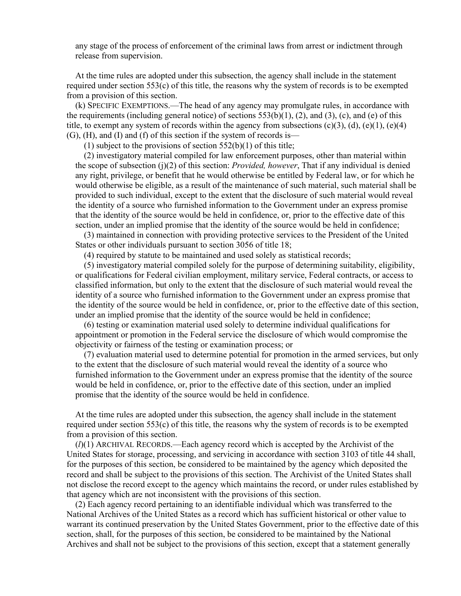any stage of the process of enforcement of the criminal laws from arrest or indictment through release from supervision.

At the time rules are adopted under this subsection, the agency shall include in the statement required under section 553(c) of this title, the reasons why the system of records is to be exempted from a provision of this section.

(k) SPECIFIC EXEMPTIONS.—The head of any agency may promulgate rules, in accordance with the requirements (including general notice) of sections  $553(b)(1)$ , (2), and (3), (c), and (e) of this title, to exempt any system of records within the agency from subsections  $(c)(3)$ ,  $(d)$ ,  $(e)(1)$ ,  $(e)(4)$ (G), (H), and (I) and (f) of this section if the system of records is—

(1) subject to the provisions of section  $552(b)(1)$  of this title;

(2) investigatory material compiled for law enforcement purposes, other than material within the scope of subsection (j)(2) of this section: *Provided, however*, That if any individual is denied any right, privilege, or benefit that he would otherwise be entitled by Federal law, or for which he would otherwise be eligible, as a result of the maintenance of such material, such material shall be provided to such individual, except to the extent that the disclosure of such material would reveal the identity of a source who furnished information to the Government under an express promise that the identity of the source would be held in confidence, or, prior to the effective date of this section, under an implied promise that the identity of the source would be held in confidence;

(3) maintained in connection with providing protective services to the President of the United States or other individuals pursuant to section 3056 of title 18;

(4) required by statute to be maintained and used solely as statistical records;

(5) investigatory material compiled solely for the purpose of determining suitability, eligibility, or qualifications for Federal civilian employment, military service, Federal contracts, or access to classified information, but only to the extent that the disclosure of such material would reveal the identity of a source who furnished information to the Government under an express promise that the identity of the source would be held in confidence, or, prior to the effective date of this section, under an implied promise that the identity of the source would be held in confidence;

(6) testing or examination material used solely to determine individual qualifications for appointment or promotion in the Federal service the disclosure of which would compromise the objectivity or fairness of the testing or examination process; or

(7) evaluation material used to determine potential for promotion in the armed services, but only to the extent that the disclosure of such material would reveal the identity of a source who furnished information to the Government under an express promise that the identity of the source would be held in confidence, or, prior to the effective date of this section, under an implied promise that the identity of the source would be held in confidence.

At the time rules are adopted under this subsection, the agency shall include in the statement required under section 553(c) of this title, the reasons why the system of records is to be exempted from a provision of this section.

(*l*)(1) ARCHIVAL RECORDS.—Each agency record which is accepted by the Archivist of the United States for storage, processing, and servicing in accordance with section 3103 of title 44 shall, for the purposes of this section, be considered to be maintained by the agency which deposited the record and shall be subject to the provisions of this section. The Archivist of the United States shall not disclose the record except to the agency which maintains the record, or under rules established by that agency which are not inconsistent with the provisions of this section.

(2) Each agency record pertaining to an identifiable individual which was transferred to the National Archives of the United States as a record which has sufficient historical or other value to warrant its continued preservation by the United States Government, prior to the effective date of this section, shall, for the purposes of this section, be considered to be maintained by the National Archives and shall not be subject to the provisions of this section, except that a statement generally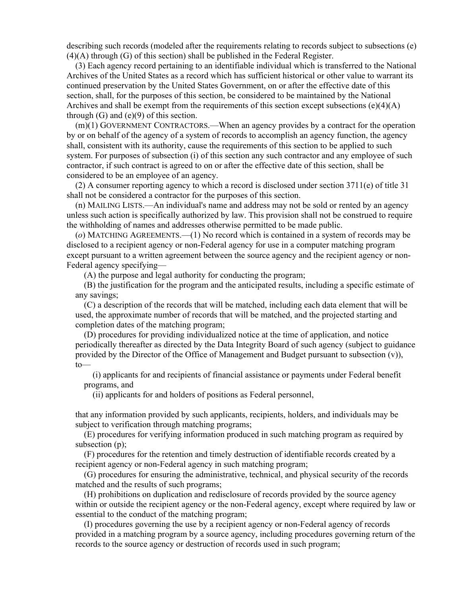describing such records (modeled after the requirements relating to records subject to subsections (e) (4)(A) through (G) of this section) shall be published in the Federal Register.

(3) Each agency record pertaining to an identifiable individual which is transferred to the National Archives of the United States as a record which has sufficient historical or other value to warrant its continued preservation by the United States Government, on or after the effective date of this section, shall, for the purposes of this section, be considered to be maintained by the National Archives and shall be exempt from the requirements of this section except subsections  $(e)(4)(A)$ through  $(G)$  and  $(e)(9)$  of this section.

(m)(1) GOVERNMENT CONTRACTORS.—When an agency provides by a contract for the operation by or on behalf of the agency of a system of records to accomplish an agency function, the agency shall, consistent with its authority, cause the requirements of this section to be applied to such system. For purposes of subsection (i) of this section any such contractor and any employee of such contractor, if such contract is agreed to on or after the effective date of this section, shall be considered to be an employee of an agency.

(2) A consumer reporting agency to which a record is disclosed under section 3711(e) of title 31 shall not be considered a contractor for the purposes of this section.

(n) MAILING LISTS.—An individual's name and address may not be sold or rented by an agency unless such action is specifically authorized by law. This provision shall not be construed to require the withholding of names and addresses otherwise permitted to be made public.

(*o*) MATCHING AGREEMENTS.—(1) No record which is contained in a system of records may be disclosed to a recipient agency or non-Federal agency for use in a computer matching program except pursuant to a written agreement between the source agency and the recipient agency or non-Federal agency specifying—

(A) the purpose and legal authority for conducting the program;

(B) the justification for the program and the anticipated results, including a specific estimate of any savings;

(C) a description of the records that will be matched, including each data element that will be used, the approximate number of records that will be matched, and the projected starting and completion dates of the matching program;

(D) procedures for providing individualized notice at the time of application, and notice periodically thereafter as directed by the Data Integrity Board of such agency (subject to guidance provided by the Director of the Office of Management and Budget pursuant to subsection (v)), to—

(i) applicants for and recipients of financial assistance or payments under Federal benefit programs, and

(ii) applicants for and holders of positions as Federal personnel,

that any information provided by such applicants, recipients, holders, and individuals may be subject to verification through matching programs;

(E) procedures for verifying information produced in such matching program as required by subsection (p);

(F) procedures for the retention and timely destruction of identifiable records created by a recipient agency or non-Federal agency in such matching program;

(G) procedures for ensuring the administrative, technical, and physical security of the records matched and the results of such programs;

(H) prohibitions on duplication and redisclosure of records provided by the source agency within or outside the recipient agency or the non-Federal agency, except where required by law or essential to the conduct of the matching program;

(I) procedures governing the use by a recipient agency or non-Federal agency of records provided in a matching program by a source agency, including procedures governing return of the records to the source agency or destruction of records used in such program;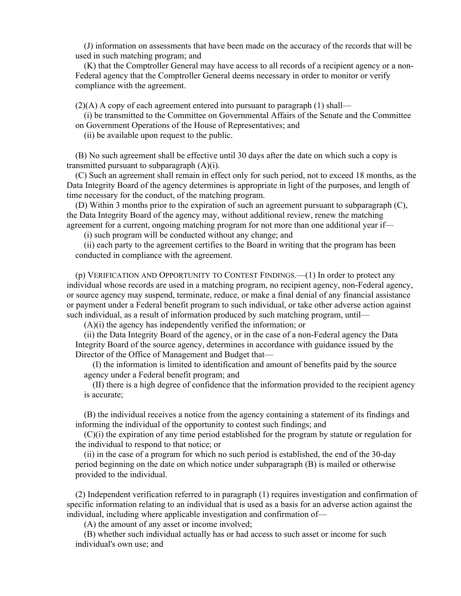(J) information on assessments that have been made on the accuracy of the records that will be used in such matching program; and

(K) that the Comptroller General may have access to all records of a recipient agency or a non-Federal agency that the Comptroller General deems necessary in order to monitor or verify compliance with the agreement.

 $(2)(A)$  A copy of each agreement entered into pursuant to paragraph (1) shall—

(i) be transmitted to the Committee on Governmental Affairs of the Senate and the Committee on Government Operations of the House of Representatives; and

(ii) be available upon request to the public.

(B) No such agreement shall be effective until 30 days after the date on which such a copy is transmitted pursuant to subparagraph (A)(i).

(C) Such an agreement shall remain in effect only for such period, not to exceed 18 months, as the Data Integrity Board of the agency determines is appropriate in light of the purposes, and length of time necessary for the conduct, of the matching program.

(D) Within 3 months prior to the expiration of such an agreement pursuant to subparagraph (C), the Data Integrity Board of the agency may, without additional review, renew the matching agreement for a current, ongoing matching program for not more than one additional year if—

(i) such program will be conducted without any change; and

(ii) each party to the agreement certifies to the Board in writing that the program has been conducted in compliance with the agreement.

(p) VERIFICATION AND OPPORTUNITY TO CONTEST FINDINGS.—(1) In order to protect any individual whose records are used in a matching program, no recipient agency, non-Federal agency, or source agency may suspend, terminate, reduce, or make a final denial of any financial assistance or payment under a Federal benefit program to such individual, or take other adverse action against such individual, as a result of information produced by such matching program, until—

(A)(i) the agency has independently verified the information; or

(ii) the Data Integrity Board of the agency, or in the case of a non-Federal agency the Data Integrity Board of the source agency, determines in accordance with guidance issued by the Director of the Office of Management and Budget that—

(I) the information is limited to identification and amount of benefits paid by the source agency under a Federal benefit program; and

(II) there is a high degree of confidence that the information provided to the recipient agency is accurate;

(B) the individual receives a notice from the agency containing a statement of its findings and informing the individual of the opportunity to contest such findings; and

(C)(i) the expiration of any time period established for the program by statute or regulation for the individual to respond to that notice; or

(ii) in the case of a program for which no such period is established, the end of the 30-day period beginning on the date on which notice under subparagraph (B) is mailed or otherwise provided to the individual.

(2) Independent verification referred to in paragraph (1) requires investigation and confirmation of specific information relating to an individual that is used as a basis for an adverse action against the individual, including where applicable investigation and confirmation of—

(A) the amount of any asset or income involved;

(B) whether such individual actually has or had access to such asset or income for such individual's own use; and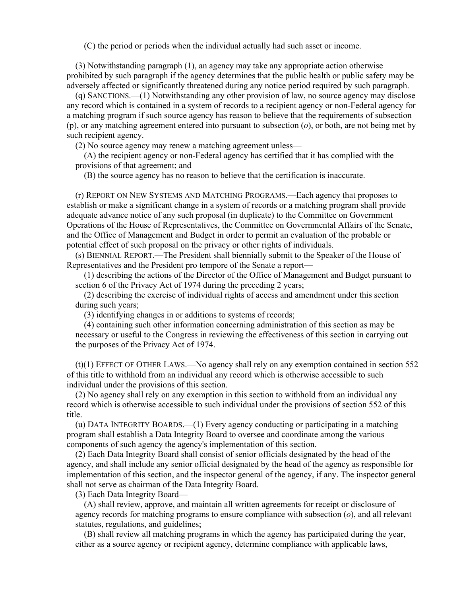(C) the period or periods when the individual actually had such asset or income.

(3) Notwithstanding paragraph (1), an agency may take any appropriate action otherwise prohibited by such paragraph if the agency determines that the public health or public safety may be adversely affected or significantly threatened during any notice period required by such paragraph.

(q) SANCTIONS.—(1) Notwithstanding any other provision of law, no source agency may disclose any record which is contained in a system of records to a recipient agency or non-Federal agency for a matching program if such source agency has reason to believe that the requirements of subsection (p), or any matching agreement entered into pursuant to subsection (*o*), or both, are not being met by such recipient agency.

(2) No source agency may renew a matching agreement unless—

(A) the recipient agency or non-Federal agency has certified that it has complied with the provisions of that agreement; and

(B) the source agency has no reason to believe that the certification is inaccurate.

(r) REPORT ON NEW SYSTEMS AND MATCHING PROGRAMS.—Each agency that proposes to establish or make a significant change in a system of records or a matching program shall provide adequate advance notice of any such proposal (in duplicate) to the Committee on Government Operations of the House of Representatives, the Committee on Governmental Affairs of the Senate, and the Office of Management and Budget in order to permit an evaluation of the probable or potential effect of such proposal on the privacy or other rights of individuals.

(s) BIENNIAL REPORT.—The President shall biennially submit to the Speaker of the House of Representatives and the President pro tempore of the Senate a report—

(1) describing the actions of the Director of the Office of Management and Budget pursuant to section 6 of the Privacy Act of 1974 during the preceding 2 years;

(2) describing the exercise of individual rights of access and amendment under this section during such years;

(3) identifying changes in or additions to systems of records;

(4) containing such other information concerning administration of this section as may be necessary or useful to the Congress in reviewing the effectiveness of this section in carrying out the purposes of the Privacy Act of 1974.

(t)(1) EFFECT OF OTHER LAWS.—No agency shall rely on any exemption contained in section 552 of this title to withhold from an individual any record which is otherwise accessible to such individual under the provisions of this section.

(2) No agency shall rely on any exemption in this section to withhold from an individual any record which is otherwise accessible to such individual under the provisions of section 552 of this title.

(u) DATA INTEGRITY BOARDS.—(1) Every agency conducting or participating in a matching program shall establish a Data Integrity Board to oversee and coordinate among the various components of such agency the agency's implementation of this section.

(2) Each Data Integrity Board shall consist of senior officials designated by the head of the agency, and shall include any senior official designated by the head of the agency as responsible for implementation of this section, and the inspector general of the agency, if any. The inspector general shall not serve as chairman of the Data Integrity Board.

(3) Each Data Integrity Board—

(A) shall review, approve, and maintain all written agreements for receipt or disclosure of agency records for matching programs to ensure compliance with subsection (*o*), and all relevant statutes, regulations, and guidelines;

(B) shall review all matching programs in which the agency has participated during the year, either as a source agency or recipient agency, determine compliance with applicable laws,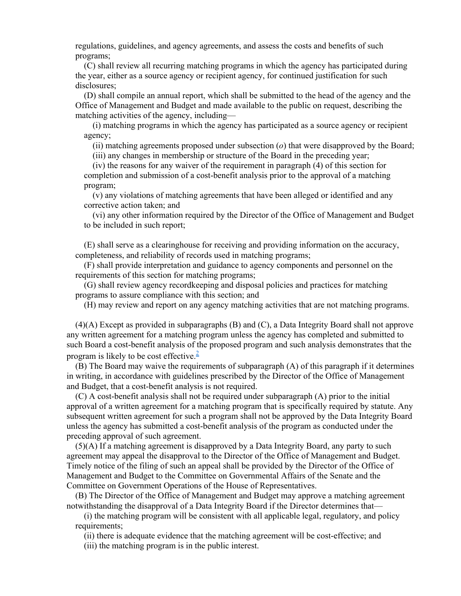regulations, guidelines, and agency agreements, and assess the costs and benefits of such programs;

(C) shall review all recurring matching programs in which the agency has participated during the year, either as a source agency or recipient agency, for continued justification for such disclosures;

(D) shall compile an annual report, which shall be submitted to the head of the agency and the Office of Management and Budget and made available to the public on request, describing the matching activities of the agency, including—

(i) matching programs in which the agency has participated as a source agency or recipient agency;

(ii) matching agreements proposed under subsection (*o*) that were disapproved by the Board;

(iii) any changes in membership or structure of the Board in the preceding year;

(iv) the reasons for any waiver of the requirement in paragraph (4) of this section for completion and submission of a cost-benefit analysis prior to the approval of a matching program;

(v) any violations of matching agreements that have been alleged or identified and any corrective action taken; and

(vi) any other information required by the Director of the Office of Management and Budget to be included in such report;

(E) shall serve as a clearinghouse for receiving and providing information on the accuracy, completeness, and reliability of records used in matching programs;

(F) shall provide interpretation and guidance to agency components and personnel on the requirements of this section for matching programs;

(G) shall review agency recordkeeping and disposal policies and practices for matching programs to assure compliance with this section; and

(H) may review and report on any agency matching activities that are not matching programs.

(4)(A) Except as provided in subparagraphs (B) and (C), a Data Integrity Board shall not approve any written agreement for a matching program unless the agency has completed and submitted to such Board a cost-benefit analysis of the proposed program and such analysis demonstrates that the program is likely to be cost effective. $2$ 

(B) The Board may waive the requirements of subparagraph (A) of this paragraph if it determines in writing, in accordance with guidelines prescribed by the Director of the Office of Management and Budget, that a cost-benefit analysis is not required.

(C) A cost-benefit analysis shall not be required under subparagraph (A) prior to the initial approval of a written agreement for a matching program that is specifically required by statute. Any subsequent written agreement for such a program shall not be approved by the Data Integrity Board unless the agency has submitted a cost-benefit analysis of the program as conducted under the preceding approval of such agreement.

(5)(A) If a matching agreement is disapproved by a Data Integrity Board, any party to such agreement may appeal the disapproval to the Director of the Office of Management and Budget. Timely notice of the filing of such an appeal shall be provided by the Director of the Office of Management and Budget to the Committee on Governmental Affairs of the Senate and the Committee on Government Operations of the House of Representatives.

(B) The Director of the Office of Management and Budget may approve a matching agreement notwithstanding the disapproval of a Data Integrity Board if the Director determines that—

(i) the matching program will be consistent with all applicable legal, regulatory, and policy requirements;

(ii) there is adequate evidence that the matching agreement will be cost-effective; and

(iii) the matching program is in the public interest.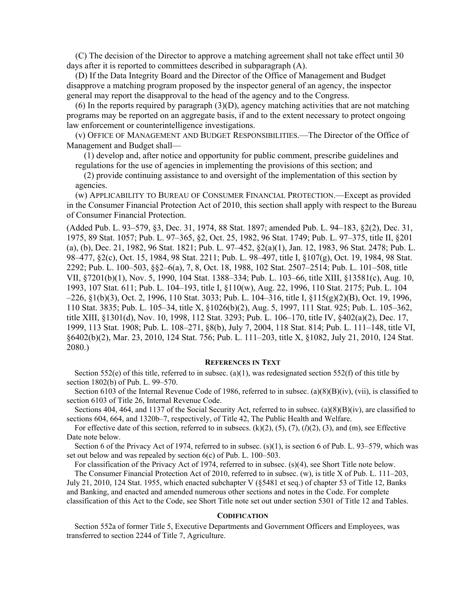(C) The decision of the Director to approve a matching agreement shall not take effect until 30 days after it is reported to committees described in subparagraph (A).

(D) If the Data Integrity Board and the Director of the Office of Management and Budget disapprove a matching program proposed by the inspector general of an agency, the inspector general may report the disapproval to the head of the agency and to the Congress.

 $(6)$  In the reports required by paragraph  $(3)(D)$ , agency matching activities that are not matching programs may be reported on an aggregate basis, if and to the extent necessary to protect ongoing law enforcement or counterintelligence investigations.

(v) OFFICE OF MANAGEMENT AND BUDGET RESPONSIBILITIES.—The Director of the Office of Management and Budget shall—

(1) develop and, after notice and opportunity for public comment, prescribe guidelines and regulations for the use of agencies in implementing the provisions of this section; and

(2) provide continuing assistance to and oversight of the implementation of this section by agencies.

(w) APPLICABILITY TO BUREAU OF CONSUMER FINANCIAL PROTECTION.—Except as provided in the Consumer Financial Protection Act of 2010, this section shall apply with respect to the Bureau of Consumer Financial Protection.

(Added Pub. L. 93–579, §3, Dec. 31, 1974, 88 Stat. 1897; amended Pub. L. 94–183, §2(2), Dec. 31, 1975, 89 Stat. 1057; Pub. L. 97–365, §2, Oct. 25, 1982, 96 Stat. 1749; Pub. L. 97–375, title II, §201 (a), (b), Dec. 21, 1982, 96 Stat. 1821; Pub. L. 97–452, §2(a)(1), Jan. 12, 1983, 96 Stat. 2478; Pub. L. 98–477, §2(c), Oct. 15, 1984, 98 Stat. 2211; Pub. L. 98–497, title I, §107(g), Oct. 19, 1984, 98 Stat. 2292; Pub. L. 100–503, §§2–6(a), 7, 8, Oct. 18, 1988, 102 Stat. 2507–2514; Pub. L. 101–508, title VII, §7201(b)(1), Nov. 5, 1990, 104 Stat. 1388–334; Pub. L. 103–66, title XIII, §13581(c), Aug. 10, 1993, 107 Stat. 611; Pub. L. 104–193, title I, §110(w), Aug. 22, 1996, 110 Stat. 2175; Pub. L. 104 –226, §1(b)(3), Oct. 2, 1996, 110 Stat. 3033; Pub. L. 104–316, title I, §115(g)(2)(B), Oct. 19, 1996, 110 Stat. 3835; Pub. L. 105–34, title X, §1026(b)(2), Aug. 5, 1997, 111 Stat. 925; Pub. L. 105–362, title XIII, §1301(d), Nov. 10, 1998, 112 Stat. 3293; Pub. L. 106–170, title IV, §402(a)(2), Dec. 17, 1999, 113 Stat. 1908; Pub. L. 108–271, §8(b), July 7, 2004, 118 Stat. 814; Pub. L. 111–148, title VI, §6402(b)(2), Mar. 23, 2010, 124 Stat. 756; Pub. L. 111–203, title X, §1082, July 21, 2010, 124 Stat. 2080.)

### **REFERENCES IN TEXT**

Section 552(e) of this title, referred to in subsec. (a)(1), was redesignated section 552(f) of this title by section 1802(b) of Pub. L. 99–570.

Section 6103 of the Internal Revenue Code of 1986, referred to in subsec. (a) $(8)(B)(iv)$ , (vii), is classified to section 6103 of Title 26, Internal Revenue Code.

Sections 404, 464, and 1137 of the Social Security Act, referred to in subsec. (a)(8)(B)(iv), are classified to sections 604, 664, and 1320b–7, respectively, of Title 42, The Public Health and Welfare.

For effective date of this section, referred to in subsecs. (k)(2), (5), (7), (*l*)(2), (3), and (m), see Effective Date note below.

Section 6 of the Privacy Act of 1974, referred to in subsec. (s)(1), is section 6 of Pub. L. 93–579, which was set out below and was repealed by section 6(c) of Pub. L. 100–503.

For classification of the Privacy Act of 1974, referred to in subsec. (s)(4), see Short Title note below.

The Consumer Financial Protection Act of 2010, referred to in subsec. (w), is title X of Pub. L. 111–203, July 21, 2010, 124 Stat. 1955, which enacted subchapter V (§5481 et seq.) of chapter 53 of Title 12, Banks and Banking, and enacted and amended numerous other sections and notes in the Code. For complete classification of this Act to the Code, see Short Title note set out under section 5301 of Title 12 and Tables.

### **CODIFICATION**

Section 552a of former Title 5, Executive Departments and Government Officers and Employees, was transferred to section 2244 of Title 7, Agriculture.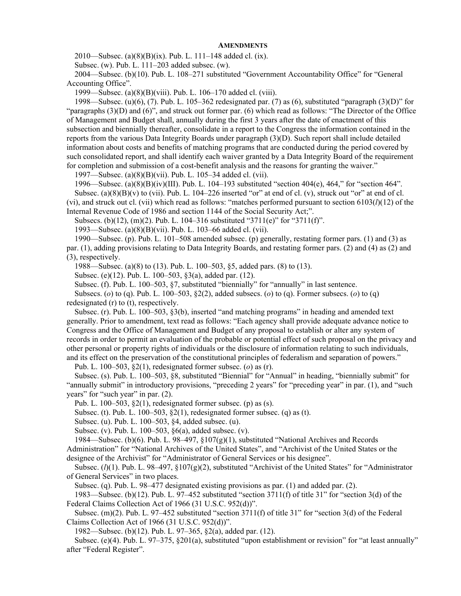2010—Subsec. (a)(8)(B)(ix). Pub. L. 111–148 added cl. (ix).

Subsec. (w). Pub. L. 111–203 added subsec. (w).

2004—Subsec. (b)(10). Pub. L. 108–271 substituted "Government Accountability Office" for "General Accounting Office".

1999—Subsec. (a)(8)(B)(viii). Pub. L. 106–170 added cl. (viii).

1998—Subsec. (u)(6), (7). Pub. L. 105–362 redesignated par. (7) as (6), substituted "paragraph (3)(D)" for "paragraphs (3)(D) and (6)", and struck out former par. (6) which read as follows: "The Director of the Office of Management and Budget shall, annually during the first 3 years after the date of enactment of this subsection and biennially thereafter, consolidate in a report to the Congress the information contained in the reports from the various Data Integrity Boards under paragraph (3)(D). Such report shall include detailed information about costs and benefits of matching programs that are conducted during the period covered by such consolidated report, and shall identify each waiver granted by a Data Integrity Board of the requirement for completion and submission of a cost-benefit analysis and the reasons for granting the waiver."

1997—Subsec. (a)(8)(B)(vii). Pub. L. 105–34 added cl. (vii).

1996—Subsec. (a)(8)(B)(iv)(III). Pub. L. 104–193 substituted "section 404(e), 464," for "section 464".

Subsec. (a) $(8)(B)(v)$  to (vii). Pub. L. 104–226 inserted "or" at end of cl. (v), struck out "or" at end of cl. (vi), and struck out cl. (vii) which read as follows: "matches performed pursuant to section 6103(*l*)(12) of the Internal Revenue Code of 1986 and section 1144 of the Social Security Act;".

Subsecs. (b)(12), (m)(2). Pub. L. 104–316 substituted "3711(e)" for "3711(f)".

1993—Subsec. (a)(8)(B)(vii). Pub. L. 103–66 added cl. (vii).

1990—Subsec. (p). Pub. L. 101–508 amended subsec. (p) generally, restating former pars. (1) and (3) as par. (1), adding provisions relating to Data Integrity Boards, and restating former pars. (2) and (4) as (2) and (3), respectively.

1988—Subsec. (a)(8) to (13). Pub. L. 100–503, §5, added pars. (8) to (13).

Subsec. (e)(12). Pub. L. 100–503, §3(a), added par. (12).

Subsec. (f). Pub. L. 100–503, §7, substituted "biennially" for "annually" in last sentence.

Subsecs. (*o*) to (q). Pub. L. 100–503, §2(2), added subsecs. (*o*) to (q). Former subsecs. (*o*) to (q) redesignated (r) to (t), respectively.

Subsec. (r). Pub. L. 100–503, §3(b), inserted "and matching programs" in heading and amended text generally. Prior to amendment, text read as follows: "Each agency shall provide adequate advance notice to Congress and the Office of Management and Budget of any proposal to establish or alter any system of records in order to permit an evaluation of the probable or potential effect of such proposal on the privacy and other personal or property rights of individuals or the disclosure of information relating to such individuals, and its effect on the preservation of the constitutional principles of federalism and separation of powers."

Pub. L. 100–503, §2(1), redesignated former subsec. (*o*) as (r).

Subsec. (s). Pub. L. 100–503, §8, substituted "Biennial" for "Annual" in heading, "biennially submit" for "annually submit" in introductory provisions, "preceding 2 years" for "preceding year" in par. (1), and "such years" for "such year" in par. (2).

Pub. L.  $100-503$ ,  $\S2(1)$ , redesignated former subsec. (p) as (s).

Subsec. (t). Pub. L. 100–503, §2(1), redesignated former subsec. (q) as (t).

Subsec. (u). Pub. L. 100–503, §4, added subsec. (u).

Subsec. (v). Pub. L. 100–503, §6(a), added subsec. (v).

1984—Subsec. (b)(6). Pub. L. 98–497,  $\S 107(g)(1)$ , substituted "National Archives and Records

Administration" for "National Archives of the United States", and "Archivist of the United States or the designee of the Archivist" for "Administrator of General Services or his designee".

Subsec. (*l*)(1). Pub. L. 98–497, §107(g)(2), substituted "Archivist of the United States" for "Administrator of General Services" in two places.

Subsec. (q). Pub. L. 98–477 designated existing provisions as par. (1) and added par. (2).

1983—Subsec. (b)(12). Pub. L. 97–452 substituted "section 3711(f) of title 31" for "section 3(d) of the Federal Claims Collection Act of 1966 (31 U.S.C. 952(d))".

Subsec. (m)(2). Pub. L. 97–452 substituted "section 3711(f) of title 31" for "section 3(d) of the Federal Claims Collection Act of 1966 (31 U.S.C. 952(d))".

1982—Subsec. (b)(12). Pub. L. 97–365, §2(a), added par. (12).

Subsec. (e)(4). Pub. L. 97–375, §201(a), substituted "upon establishment or revision" for "at least annually" after "Federal Register".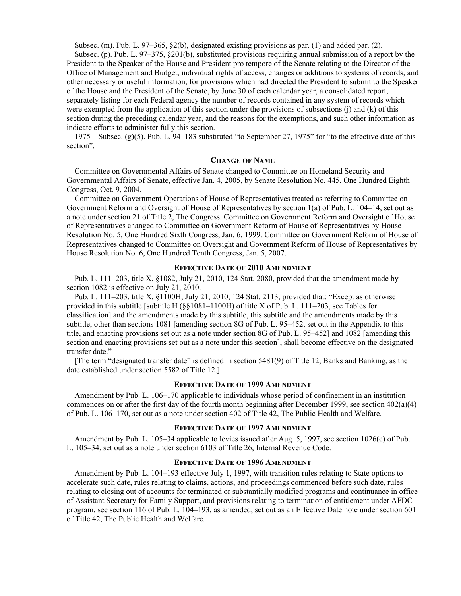Subsec. (m). Pub. L.  $97-365$ ,  $\S2(b)$ , designated existing provisions as par. (1) and added par. (2).

Subsec. (p). Pub. L. 97–375, §201(b), substituted provisions requiring annual submission of a report by the President to the Speaker of the House and President pro tempore of the Senate relating to the Director of the Office of Management and Budget, individual rights of access, changes or additions to systems of records, and other necessary or useful information, for provisions which had directed the President to submit to the Speaker of the House and the President of the Senate, by June 30 of each calendar year, a consolidated report, separately listing for each Federal agency the number of records contained in any system of records which were exempted from the application of this section under the provisions of subsections (j) and (k) of this section during the preceding calendar year, and the reasons for the exemptions, and such other information as indicate efforts to administer fully this section.

1975—Subsec. (g)(5). Pub. L. 94–183 substituted "to September 27, 1975" for "to the effective date of this section".

### **CHANGE OF NAME**

Committee on Governmental Affairs of Senate changed to Committee on Homeland Security and Governmental Affairs of Senate, effective Jan. 4, 2005, by Senate Resolution No. 445, One Hundred Eighth Congress, Oct. 9, 2004.

Committee on Government Operations of House of Representatives treated as referring to Committee on Government Reform and Oversight of House of Representatives by section 1(a) of Pub. L. 104–14, set out as a note under section 21 of Title 2, The Congress. Committee on Government Reform and Oversight of House of Representatives changed to Committee on Government Reform of House of Representatives by House Resolution No. 5, One Hundred Sixth Congress, Jan. 6, 1999. Committee on Government Reform of House of Representatives changed to Committee on Oversight and Government Reform of House of Representatives by House Resolution No. 6, One Hundred Tenth Congress, Jan. 5, 2007.

### **EFFECTIVE DATE OF 2010 AMENDMENT**

Pub. L. 111–203, title X, §1082, July 21, 2010, 124 Stat. 2080, provided that the amendment made by section 1082 is effective on July 21, 2010.

Pub. L. 111–203, title X, §1100H, July 21, 2010, 124 Stat. 2113, provided that: "Except as otherwise provided in this subtitle [subtitle H (§§1081–1100H) of title X of Pub. L. 111–203, see Tables for classification] and the amendments made by this subtitle, this subtitle and the amendments made by this subtitle, other than sections 1081 [amending section 8G of Pub. L. 95–452, set out in the Appendix to this title, and enacting provisions set out as a note under section 8G of Pub. L. 95–452] and 1082 [amending this section and enacting provisions set out as a note under this section], shall become effective on the designated transfer date."

[The term "designated transfer date" is defined in section 5481(9) of Title 12, Banks and Banking, as the date established under section 5582 of Title 12.]

# **EFFECTIVE DATE OF 1999 AMENDMENT**

Amendment by Pub. L. 106–170 applicable to individuals whose period of confinement in an institution commences on or after the first day of the fourth month beginning after December 1999, see section  $402(a)(4)$ of Pub. L. 106–170, set out as a note under section 402 of Title 42, The Public Health and Welfare.

#### **EFFECTIVE DATE OF 1997 AMENDMENT**

Amendment by Pub. L. 105–34 applicable to levies issued after Aug. 5, 1997, see section 1026(c) of Pub. L. 105–34, set out as a note under section 6103 of Title 26, Internal Revenue Code.

#### **EFFECTIVE DATE OF 1996 AMENDMENT**

Amendment by Pub. L. 104–193 effective July 1, 1997, with transition rules relating to State options to accelerate such date, rules relating to claims, actions, and proceedings commenced before such date, rules relating to closing out of accounts for terminated or substantially modified programs and continuance in office of Assistant Secretary for Family Support, and provisions relating to termination of entitlement under AFDC program, see section 116 of Pub. L. 104–193, as amended, set out as an Effective Date note under section 601 of Title 42, The Public Health and Welfare.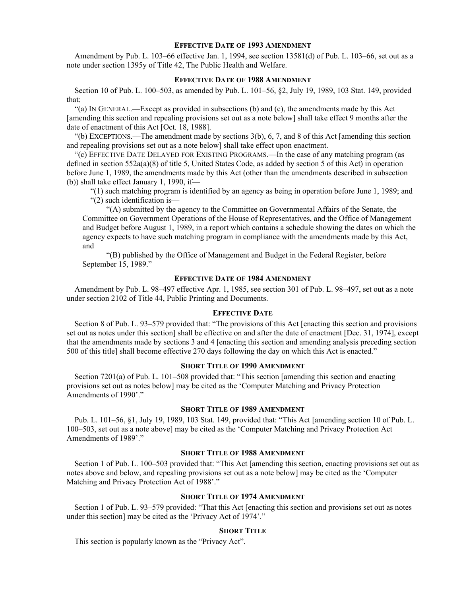#### **EFFECTIVE DATE OF 1993 AMENDMENT**

Amendment by Pub. L. 103–66 effective Jan. 1, 1994, see section 13581(d) of Pub. L. 103–66, set out as a note under section 1395y of Title 42, The Public Health and Welfare.

## **EFFECTIVE DATE OF 1988 AMENDMENT**

Section 10 of Pub. L. 100–503, as amended by Pub. L. 101–56, §2, July 19, 1989, 103 Stat. 149, provided that:

"(a) IN GENERAL.—Except as provided in subsections (b) and (c), the amendments made by this Act [amending this section and repealing provisions set out as a note below] shall take effect 9 months after the date of enactment of this Act [Oct. 18, 1988].

"(b) EXCEPTIONS.—The amendment made by sections 3(b), 6, 7, and 8 of this Act [amending this section and repealing provisions set out as a note below] shall take effect upon enactment.

"(c) EFFECTIVE DATE DELAYED FOR EXISTING PROGRAMS.—In the case of any matching program (as defined in section 552a(a)(8) of title 5, United States Code, as added by section 5 of this Act) in operation before June 1, 1989, the amendments made by this Act (other than the amendments described in subsection (b)) shall take effect January 1, 1990, if—

"(1) such matching program is identified by an agency as being in operation before June 1, 1989; and "(2) such identification is—

"(A) submitted by the agency to the Committee on Governmental Affairs of the Senate, the Committee on Government Operations of the House of Representatives, and the Office of Management and Budget before August 1, 1989, in a report which contains a schedule showing the dates on which the agency expects to have such matching program in compliance with the amendments made by this Act, and

"(B) published by the Office of Management and Budget in the Federal Register, before September 15, 1989."

### **EFFECTIVE DATE OF 1984 AMENDMENT**

Amendment by Pub. L. 98–497 effective Apr. 1, 1985, see section 301 of Pub. L. 98–497, set out as a note under section 2102 of Title 44, Public Printing and Documents.

#### **EFFECTIVE DATE**

Section 8 of Pub. L. 93–579 provided that: "The provisions of this Act [enacting this section and provisions set out as notes under this section] shall be effective on and after the date of enactment [Dec. 31, 1974], except that the amendments made by sections 3 and 4 [enacting this section and amending analysis preceding section 500 of this title] shall become effective 270 days following the day on which this Act is enacted."

### **SHORT TITLE OF 1990 AMENDMENT**

Section 7201(a) of Pub. L. 101–508 provided that: "This section [amending this section and enacting provisions set out as notes below] may be cited as the 'Computer Matching and Privacy Protection Amendments of 1990'."

### **SHORT TITLE OF 1989 AMENDMENT**

Pub. L. 101–56, §1, July 19, 1989, 103 Stat. 149, provided that: "This Act [amending section 10 of Pub. L. 100–503, set out as a note above] may be cited as the 'Computer Matching and Privacy Protection Act Amendments of 1989'."

### **SHORT TITLE OF 1988 AMENDMENT**

Section 1 of Pub. L. 100–503 provided that: "This Act [amending this section, enacting provisions set out as notes above and below, and repealing provisions set out as a note below] may be cited as the 'Computer Matching and Privacy Protection Act of 1988'."

### **SHORT TITLE OF 1974 AMENDMENT**

Section 1 of Pub. L. 93–579 provided: "That this Act [enacting this section and provisions set out as notes under this section] may be cited as the 'Privacy Act of 1974'."

#### **SHORT TITLE**

This section is popularly known as the "Privacy Act".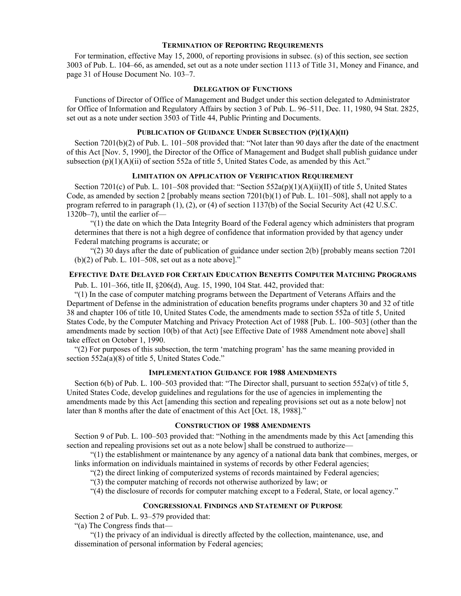#### **TERMINATION OF REPORTING REQUIREMENTS**

For termination, effective May 15, 2000, of reporting provisions in subsec. (s) of this section, see section 3003 of Pub. L. 104–66, as amended, set out as a note under section 1113 of Title 31, Money and Finance, and page 31 of House Document No. 103–7.

#### **DELEGATION OF FUNCTIONS**

Functions of Director of Office of Management and Budget under this section delegated to Administrator for Office of Information and Regulatory Affairs by section 3 of Pub. L. 96–511, Dec. 11, 1980, 94 Stat. 2825, set out as a note under section 3503 of Title 44, Public Printing and Documents.

# **PUBLICATION OF GUIDANCE UNDER SUBSECTION (P)(1)(A)(II)**

Section 7201(b)(2) of Pub. L. 101–508 provided that: "Not later than 90 days after the date of the enactment of this Act [Nov. 5, 1990], the Director of the Office of Management and Budget shall publish guidance under subsection  $(p)(1)(A)(ii)$  of section 552a of title 5, United States Code, as amended by this Act."

# **LIMITATION ON APPLICATION OF VERIFICATION REQUIREMENT**

Section 7201(c) of Pub. L. 101–508 provided that: "Section  $552a(p)(1)(A)(ii)(II)$  of title 5, United States Code, as amended by section 2 [probably means section  $7201(b)(1)$  of Pub. L. 101–508], shall not apply to a program referred to in paragraph (1), (2), or (4) of section 1137(b) of the Social Security Act (42 U.S.C. 1320b–7), until the earlier of—

"(1) the date on which the Data Integrity Board of the Federal agency which administers that program determines that there is not a high degree of confidence that information provided by that agency under Federal matching programs is accurate; or

"(2) 30 days after the date of publication of guidance under section 2(b) [probably means section 7201  $(b)(2)$  of Pub. L.  $101-508$ , set out as a note above]."

# **EFFECTIVE DATE DELAYED FOR CERTAIN EDUCATION BENEFITS COMPUTER MATCHING PROGRAMS**

Pub. L. 101–366, title II, §206(d), Aug. 15, 1990, 104 Stat. 442, provided that:

"(1) In the case of computer matching programs between the Department of Veterans Affairs and the Department of Defense in the administration of education benefits programs under chapters 30 and 32 of title 38 and chapter 106 of title 10, United States Code, the amendments made to section 552a of title 5, United States Code, by the Computer Matching and Privacy Protection Act of 1988 [Pub. L. 100–503] (other than the amendments made by section 10(b) of that Act) [see Effective Date of 1988 Amendment note above] shall take effect on October 1, 1990.

"(2) For purposes of this subsection, the term 'matching program' has the same meaning provided in section 552a(a)(8) of title 5, United States Code."

# **IMPLEMENTATION GUIDANCE FOR 1988 AMENDMENTS**

Section 6(b) of Pub. L. 100–503 provided that: "The Director shall, pursuant to section 552a(v) of title 5, United States Code, develop guidelines and regulations for the use of agencies in implementing the amendments made by this Act [amending this section and repealing provisions set out as a note below] not later than 8 months after the date of enactment of this Act [Oct. 18, 1988]."

### **CONSTRUCTION OF 1988 AMENDMENTS**

Section 9 of Pub. L. 100–503 provided that: "Nothing in the amendments made by this Act [amending this section and repealing provisions set out as a note below] shall be construed to authorize—

"(1) the establishment or maintenance by any agency of a national data bank that combines, merges, or links information on individuals maintained in systems of records by other Federal agencies;

"(2) the direct linking of computerized systems of records maintained by Federal agencies;

"(3) the computer matching of records not otherwise authorized by law; or

"(4) the disclosure of records for computer matching except to a Federal, State, or local agency."

# **CONGRESSIONAL FINDINGS AND STATEMENT OF PURPOSE**

Section 2 of Pub. L. 93–579 provided that:

"(a) The Congress finds that—

"(1) the privacy of an individual is directly affected by the collection, maintenance, use, and dissemination of personal information by Federal agencies;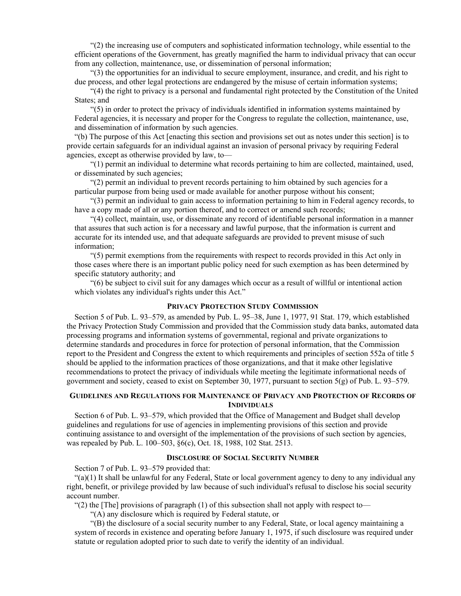"(2) the increasing use of computers and sophisticated information technology, while essential to the efficient operations of the Government, has greatly magnified the harm to individual privacy that can occur from any collection, maintenance, use, or dissemination of personal information;

"(3) the opportunities for an individual to secure employment, insurance, and credit, and his right to due process, and other legal protections are endangered by the misuse of certain information systems;

"(4) the right to privacy is a personal and fundamental right protected by the Constitution of the United States; and

"(5) in order to protect the privacy of individuals identified in information systems maintained by Federal agencies, it is necessary and proper for the Congress to regulate the collection, maintenance, use, and dissemination of information by such agencies.

"(b) The purpose of this Act [enacting this section and provisions set out as notes under this section] is to provide certain safeguards for an individual against an invasion of personal privacy by requiring Federal agencies, except as otherwise provided by law, to—

"(1) permit an individual to determine what records pertaining to him are collected, maintained, used, or disseminated by such agencies;

"(2) permit an individual to prevent records pertaining to him obtained by such agencies for a particular purpose from being used or made available for another purpose without his consent;

"(3) permit an individual to gain access to information pertaining to him in Federal agency records, to have a copy made of all or any portion thereof, and to correct or amend such records;

"(4) collect, maintain, use, or disseminate any record of identifiable personal information in a manner that assures that such action is for a necessary and lawful purpose, that the information is current and accurate for its intended use, and that adequate safeguards are provided to prevent misuse of such information;

"(5) permit exemptions from the requirements with respect to records provided in this Act only in those cases where there is an important public policy need for such exemption as has been determined by specific statutory authority; and

"(6) be subject to civil suit for any damages which occur as a result of willful or intentional action which violates any individual's rights under this Act."

#### **PRIVACY PROTECTION STUDY COMMISSION**

Section 5 of Pub. L. 93–579, as amended by Pub. L. 95–38, June 1, 1977, 91 Stat. 179, which established the Privacy Protection Study Commission and provided that the Commission study data banks, automated data processing programs and information systems of governmental, regional and private organizations to determine standards and procedures in force for protection of personal information, that the Commission report to the President and Congress the extent to which requirements and principles of section 552a of title 5 should be applied to the information practices of those organizations, and that it make other legislative recommendations to protect the privacy of individuals while meeting the legitimate informational needs of government and society, ceased to exist on September 30, 1977, pursuant to section 5(g) of Pub. L. 93–579.

# **GUIDELINES AND REGULATIONS FOR MAINTENANCE OF PRIVACY AND PROTECTION OF RECORDS OF INDIVIDUALS**

Section 6 of Pub. L. 93–579, which provided that the Office of Management and Budget shall develop guidelines and regulations for use of agencies in implementing provisions of this section and provide continuing assistance to and oversight of the implementation of the provisions of such section by agencies, was repealed by Pub. L. 100–503, §6(c), Oct. 18, 1988, 102 Stat. 2513.

#### **DISCLOSURE OF SOCIAL SECURITY NUMBER**

Section 7 of Pub. L. 93–579 provided that:

 $"(a)(1)$  It shall be unlawful for any Federal, State or local government agency to deny to any individual any right, benefit, or privilege provided by law because of such individual's refusal to disclose his social security account number.

" $(2)$  the [The] provisions of paragraph  $(1)$  of this subsection shall not apply with respect to—

"(A) any disclosure which is required by Federal statute, or

"(B) the disclosure of a social security number to any Federal, State, or local agency maintaining a system of records in existence and operating before January 1, 1975, if such disclosure was required under statute or regulation adopted prior to such date to verify the identity of an individual.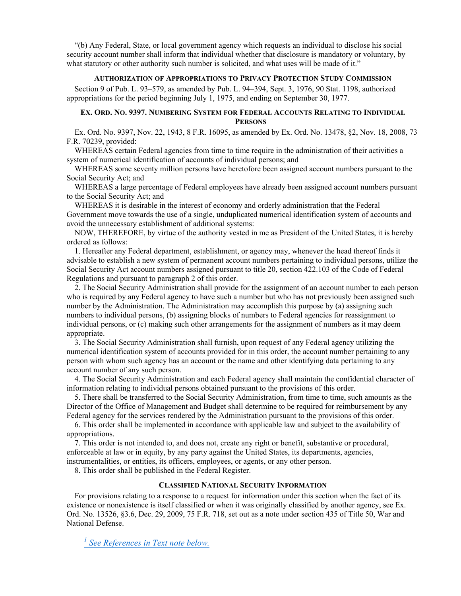"(b) Any Federal, State, or local government agency which requests an individual to disclose his social security account number shall inform that individual whether that disclosure is mandatory or voluntary, by what statutory or other authority such number is solicited, and what uses will be made of it."

# **AUTHORIZATION OF APPROPRIATIONS TO PRIVACY PROTECTION STUDY COMMISSION**

Section 9 of Pub. L. 93–579, as amended by Pub. L. 94–394, Sept. 3, 1976, 90 Stat. 1198, authorized appropriations for the period beginning July 1, 1975, and ending on September 30, 1977.

## **EX. ORD. NO. 9397. NUMBERING SYSTEM FOR FEDERAL ACCOUNTS RELATING TO INDIVIDUAL PERSONS**

Ex. Ord. No. 9397, Nov. 22, 1943, 8 F.R. 16095, as amended by Ex. Ord. No. 13478, §2, Nov. 18, 2008, 73 F.R. 70239, provided:

WHEREAS certain Federal agencies from time to time require in the administration of their activities a system of numerical identification of accounts of individual persons; and

WHEREAS some seventy million persons have heretofore been assigned account numbers pursuant to the Social Security Act; and

WHEREAS a large percentage of Federal employees have already been assigned account numbers pursuant to the Social Security Act; and

WHEREAS it is desirable in the interest of economy and orderly administration that the Federal Government move towards the use of a single, unduplicated numerical identification system of accounts and avoid the unnecessary establishment of additional systems:

NOW, THEREFORE, by virtue of the authority vested in me as President of the United States, it is hereby ordered as follows:

1. Hereafter any Federal department, establishment, or agency may, whenever the head thereof finds it advisable to establish a new system of permanent account numbers pertaining to individual persons, utilize the Social Security Act account numbers assigned pursuant to title 20, section 422.103 of the Code of Federal Regulations and pursuant to paragraph 2 of this order.

2. The Social Security Administration shall provide for the assignment of an account number to each person who is required by any Federal agency to have such a number but who has not previously been assigned such number by the Administration. The Administration may accomplish this purpose by (a) assigning such numbers to individual persons, (b) assigning blocks of numbers to Federal agencies for reassignment to individual persons, or (c) making such other arrangements for the assignment of numbers as it may deem appropriate.

3. The Social Security Administration shall furnish, upon request of any Federal agency utilizing the numerical identification system of accounts provided for in this order, the account number pertaining to any person with whom such agency has an account or the name and other identifying data pertaining to any account number of any such person.

4. The Social Security Administration and each Federal agency shall maintain the confidential character of information relating to individual persons obtained pursuant to the provisions of this order.

5. There shall be transferred to the Social Security Administration, from time to time, such amounts as the Director of the Office of Management and Budget shall determine to be required for reimbursement by any Federal agency for the services rendered by the Administration pursuant to the provisions of this order.

6. This order shall be implemented in accordance with applicable law and subject to the availability of appropriations.

7. This order is not intended to, and does not, create any right or benefit, substantive or procedural, enforceable at law or in equity, by any party against the United States, its departments, agencies, instrumentalities, or entities, its officers, employees, or agents, or any other person.

8. This order shall be published in the Federal Register.

## **CLASSIFIED NATIONAL SECURITY INFORMATION**

For provisions relating to a response to a request for information under this section when the fact of its existence or nonexistence is itself classified or when it was originally classified by another agency, see Ex. Ord. No. 13526, §3.6, Dec. 29, 2009, 75 F.R. 718, set out as a note under section 435 of Title 50, War and National Defense.

*1 See References in Text note below.*